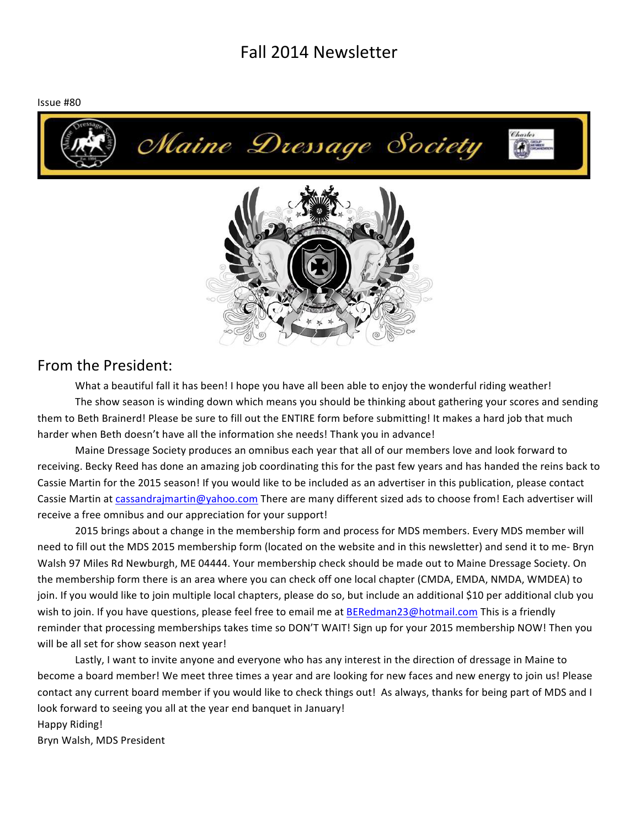# Fall 2014 Newsletter

Issue #80





# From the President:

What a beautiful fall it has been! I hope you have all been able to enjoy the wonderful riding weather! The show season is winding down which means you should be thinking about gathering your scores and sending them to Beth Brainerd! Please be sure to fill out the ENTIRE form before submitting! It makes a hard job that much harder when Beth doesn't have all the information she needs! Thank you in advance!

Maine Dressage Society produces an omnibus each year that all of our members love and look forward to receiving. Becky Reed has done an amazing job coordinating this for the past few years and has handed the reins back to Cassie Martin for the 2015 season! If you would like to be included as an advertiser in this publication, please contact Cassie Martin at cassandrajmartin@yahoo.com There are many different sized ads to choose from! Each advertiser will receive a free omnibus and our appreciation for your support!

2015 brings about a change in the membership form and process for MDS members. Every MDS member will need to fill out the MDS 2015 membership form (located on the website and in this newsletter) and send it to me- Bryn Walsh 97 Miles Rd Newburgh, ME 04444. Your membership check should be made out to Maine Dressage Society. On the membership form there is an area where you can check off one local chapter (CMDA, EMDA, NMDA, WMDEA) to join. If you would like to join multiple local chapters, please do so, but include an additional \$10 per additional club you wish to join. If you have questions, please feel free to email me at BERedman23@hotmail.com This is a friendly reminder that processing memberships takes time so DON'T WAIT! Sign up for your 2015 membership NOW! Then you will be all set for show season next year!

Lastly, I want to invite anyone and everyone who has any interest in the direction of dressage in Maine to become a board member! We meet three times a year and are looking for new faces and new energy to join us! Please contact any current board member if you would like to check things out! As always, thanks for being part of MDS and I look forward to seeing you all at the year end banquet in January!

Happy Riding!

Bryn Walsh, MDS President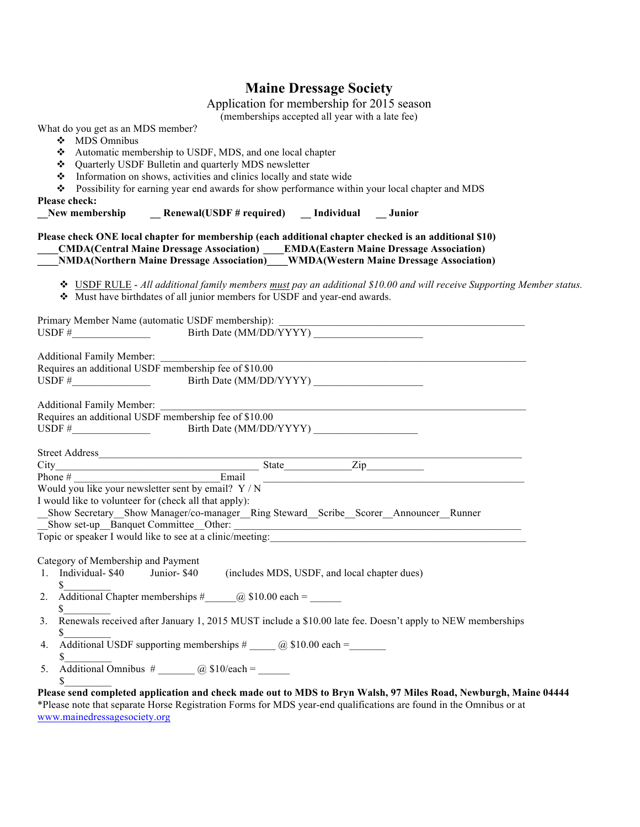# **Maine Dressage Society**

Application for membership for 2015 season

(memberships accepted all year with a late fee)

| What do you get as an MDS member?<br>MDS Omnibus<br>❖<br>Please check: | Automatic membership to USDF, MDS, and one local chapter<br>❖ Quarterly USDF Bulletin and quarterly MDS newsletter<br>• Information on shows, activities and clinics locally and state wide<br>Possibility for earning year end awards for show performance within your local chapter and MDS | $($ memocramps accepted an year with a rate rec) |                                                                                                                       |
|------------------------------------------------------------------------|-----------------------------------------------------------------------------------------------------------------------------------------------------------------------------------------------------------------------------------------------------------------------------------------------|--------------------------------------------------|-----------------------------------------------------------------------------------------------------------------------|
|                                                                        | New membership (Senewal (USDF # required) [Individual   Junior                                                                                                                                                                                                                                |                                                  |                                                                                                                       |
|                                                                        | Please check ONE local chapter for membership (each additional chapter checked is an additional \$10)                                                                                                                                                                                         |                                                  |                                                                                                                       |
|                                                                        | Must have birthdates of all junior members for USDF and year-end awards.                                                                                                                                                                                                                      |                                                  | ❖ USDF RULE - All additional family members must pay an additional \$10.00 and will receive Supporting Member status. |
|                                                                        |                                                                                                                                                                                                                                                                                               |                                                  |                                                                                                                       |
|                                                                        | Requires an additional USDF membership fee of \$10.00<br>USDF $\#$ Birth Date (MM/DD/YYYY)                                                                                                                                                                                                    |                                                  |                                                                                                                       |
|                                                                        | Additional Family Member:<br>Requires an additional USDF membership fee of \$10.00<br>USDF $\#$ Birth Date (MM/DD/YYYY)                                                                                                                                                                       |                                                  |                                                                                                                       |
|                                                                        | Street Address<br>City<br>Phone #<br>Phone #<br>Phone<br>Phone<br>Phone<br>Phone<br>Phone<br>Phone<br>Phone<br>Phone<br>Phone<br>Phone<br>Phone<br>Phone<br>Phone<br>Phone<br>Phone<br>Phone<br>Phone<br>Phone<br>Phone<br>Phone<br>Phone<br>Phone<br>Phone                                   |                                                  |                                                                                                                       |
| I would like to volunteer for (check all that apply):                  | Would you like your newsletter sent by email? $Y/N$                                                                                                                                                                                                                                           |                                                  |                                                                                                                       |
|                                                                        | Show Secretary Show Manager/co-manager Ring Steward Scribe Scorer Announcer Runner<br>Show set-up Banquet Committee Other:<br>Topic or speaker I would like to see at a clinic/meeting:                                                                                                       |                                                  |                                                                                                                       |
| Category of Membership and Payment<br>1. Individual-\$40 Junior-\$40   | (includes MDS, USDF, and local chapter dues)                                                                                                                                                                                                                                                  |                                                  |                                                                                                                       |
| 2.<br>\$                                                               | Additional Chapter memberships $\#$ (a) \$10.00 each =                                                                                                                                                                                                                                        |                                                  |                                                                                                                       |
| 3.<br>\$                                                               | Renewals received after January 1, 2015 MUST include a \$10.00 late fee. Doesn't apply to NEW memberships                                                                                                                                                                                     |                                                  |                                                                                                                       |
| 4.<br>\$<br>5.                                                         |                                                                                                                                                                                                                                                                                               |                                                  |                                                                                                                       |
| \$                                                                     | *Please note that separate Horse Registration Forms for MDS year-end qualifications are found in the Omnibus or at                                                                                                                                                                            |                                                  | Please send completed application and check made out to MDS to Bryn Walsh, 97 Miles Road, Newburgh, Maine 04444       |

www.mainedressagesociety.org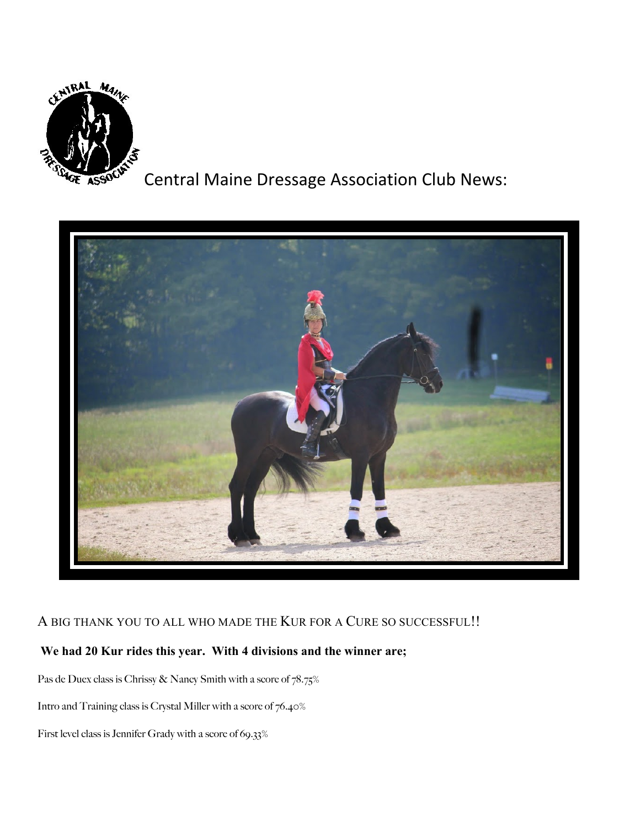

Central Maine Dressage Association Club News:



## A BIG THANK YOU TO ALL WHO MADE THE KUR FOR A CURE SO SUCCESSFUL!!

# **We had 20 Kur rides this year. With 4 divisions and the winner are;**

Pas de Duex class is Chrissy & Nancy Smith with a score of 78.75%

Intro and Training class is Crystal Miller with a score of 76.40%

First level class is Jennifer Grady with a score of 69.33%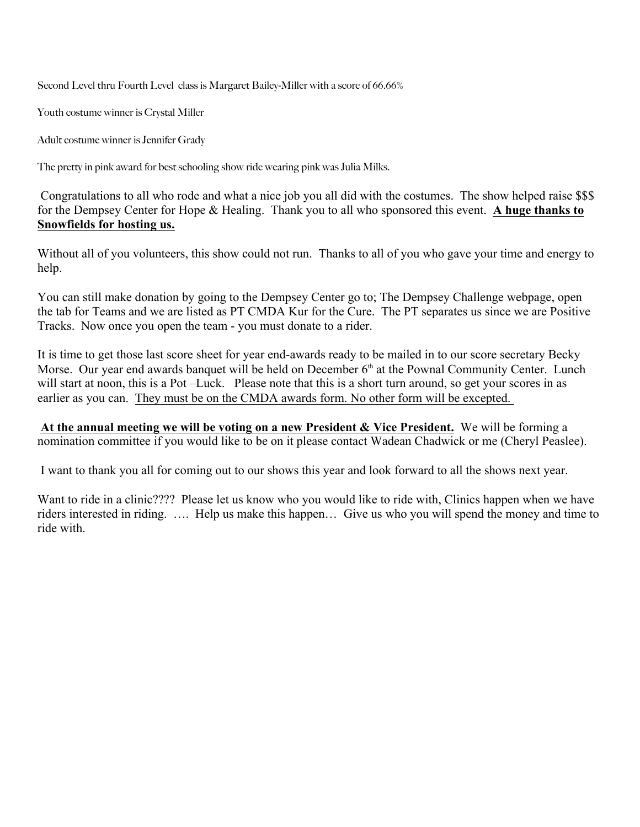Second Level thru Fourth Level class is Margaret Bailey-Miller with a score of 66.66%

Youth costume winner is Crystal Miller

Adult costume winner is Jennifer Grady

The pretty in pink award for best schooling show ride wearing pink was Julia Milks.

Congratulations to all who rode and what a nice job you all did with the costumes. The show helped raise \$\$\$ for the Dempsey Center for Hope & Healing. Thank you to all who sponsored this event. **A huge thanks to Snowfields for hosting us.**

Without all of you volunteers, this show could not run. Thanks to all of you who gave your time and energy to help.

You can still make donation by going to the Dempsey Center go to; The Dempsey Challenge webpage, open the tab for Teams and we are listed as PT CMDA Kur for the Cure. The PT separates us since we are Positive Tracks. Now once you open the team - you must donate to a rider.

It is time to get those last score sheet for year end-awards ready to be mailed in to our score secretary Becky Morse. Our year end awards banquet will be held on December  $6<sup>th</sup>$  at the Pownal Community Center. Lunch will start at noon, this is a Pot-Luck. Please note that this is a short turn around, so get your scores in as earlier as you can. They must be on the CMDA awards form. No other form will be excepted.

**At the annual meeting we will be voting on a new President & Vice President.** We will be forming a nomination committee if you would like to be on it please contact Wadean Chadwick or me (Cheryl Peaslee).

I want to thank you all for coming out to our shows this year and look forward to all the shows next year.

Want to ride in a clinic???? Please let us know who you would like to ride with, Clinics happen when we have riders interested in riding. …. Help us make this happen… Give us who you will spend the money and time to ride with.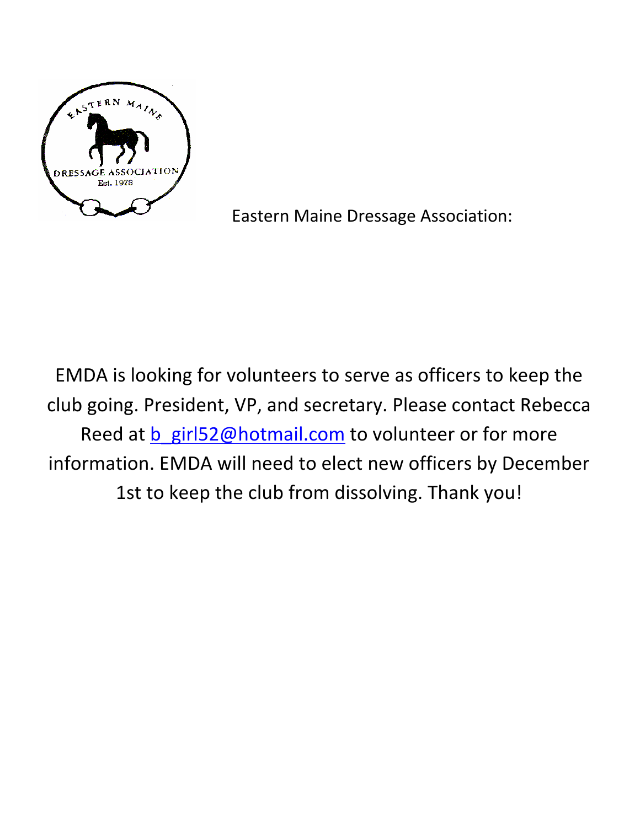

Eastern Maine Dressage Association:

EMDA is looking for volunteers to serve as officers to keep the club going. President, VP, and secretary. Please contact Rebecca Reed at b\_girl52@hotmail.com to volunteer or for more information. EMDA will need to elect new officers by December 1st to keep the club from dissolving. Thank you!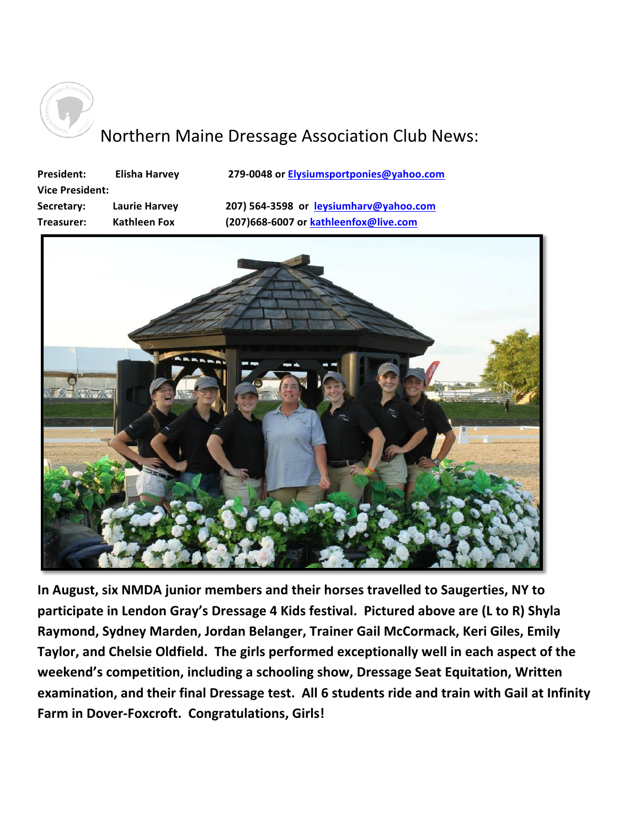

# Northern Maine Dressage Association Club News:

| <b>President:</b>      | <b>Elisha Harvey</b> | 279-0048 or Elysiumsportponies@yahoo.com |
|------------------------|----------------------|------------------------------------------|
| <b>Vice President:</b> |                      |                                          |
| Secretary:             | Laurie Harvey        | 207) 564-3598 or leysiumharv@yahoo.com   |
| Treasurer:             | <b>Kathleen Fox</b>  | (207)668-6007 or kathleenfox@live.com    |
|                        |                      |                                          |



In August, six NMDA junior members and their horses travelled to Saugerties, NY to participate in Lendon Gray's Dressage 4 Kids festival. Pictured above are (L to R) Shyla Raymond, Sydney Marden, Jordan Belanger, Trainer Gail McCormack, Keri Giles, Emily Taylor, and Chelsie Oldfield. The girls performed exceptionally well in each aspect of the weekend's competition, including a schooling show, Dressage Seat Equitation, Written **examination, and their final Dressage test. All 6 students ride and train with Gail at Infinity** Farm in Dover-Foxcroft. Congratulations, Girls!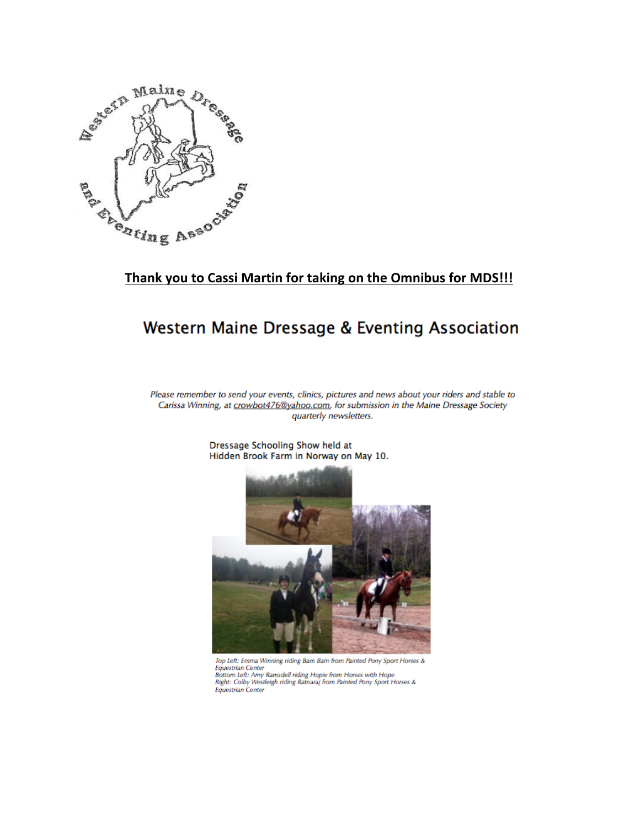

# Thank you to Cassi Martin for taking on the Omnibus for MDS!!!

# Western Maine Dressage & Eventing Association

Please remember to send your events, clinics, pictures and news about your riders and stable to Carissa Winning, at crowbot476@yahoo.com, for submission in the Maine Dressage Society quarterly newsletters.



Dressage Schooling Show held at Hidden Brook Farm in Norway on May 10.

Top Left: Emma Winning riding Bam Bam from Painted Pony Sport Horses & Equestrian Center<br>Bottom Left: Amy Ramsdell riding Hopie from Horses with Hope<br>Right: Colby Westleigh riding Ratnaraj from Painted Pony Sport Horses & Equestrian Center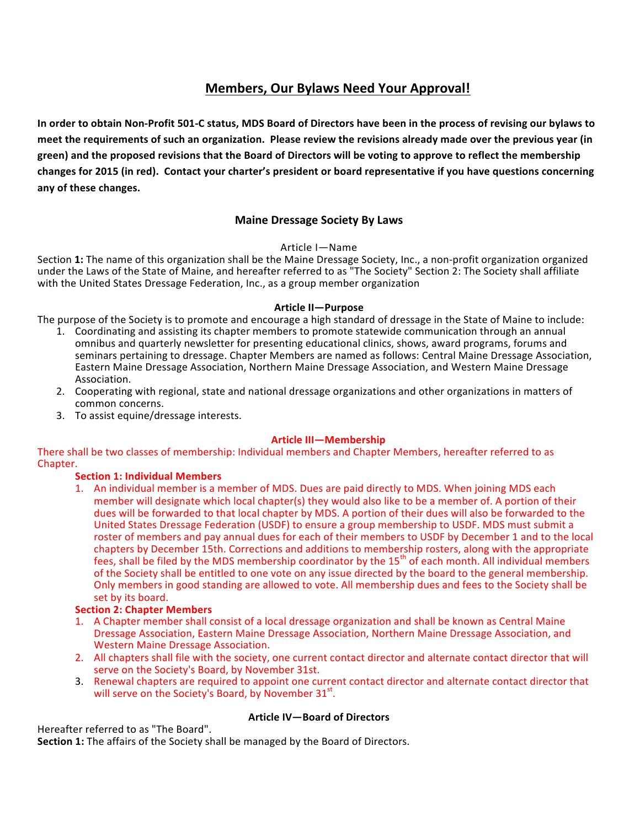### **Members, Our Bylaws Need Your Approval!**

In order to obtain Non-Profit 501-C status, MDS Board of Directors have been in the process of revising our bylaws to meet the requirements of such an organization. Please review the revisions already made over the previous year (in green) and the proposed revisions that the Board of Directors will be voting to approve to reflect the membership changes for 2015 (in red). Contact your charter's president or board representative if you have questions concerning any of these changes.

#### **Maine Dressage Society By Laws**

#### Article I—Name

Section 1: The name of this organization shall be the Maine Dressage Society, Inc., a non-profit organization organized under the Laws of the State of Maine, and hereafter referred to as "The Society" Section 2: The Society shall affiliate with the United States Dressage Federation, Inc., as a group member organization

#### **Article II—Purpose**

The purpose of the Society is to promote and encourage a high standard of dressage in the State of Maine to include:

- 1. Coordinating and assisting its chapter members to promote statewide communication through an annual omnibus and quarterly newsletter for presenting educational clinics, shows, award programs, forums and seminars pertaining to dressage. Chapter Members are named as follows: Central Maine Dressage Association, Eastern Maine Dressage Association, Northern Maine Dressage Association, and Western Maine Dressage Association.
- 2. Cooperating with regional, state and national dressage organizations and other organizations in matters of common concerns.
- 3. To assist equine/dressage interests.

#### **Article III—Membership**

There shall be two classes of membership: Individual members and Chapter Members, hereafter referred to as Chapter.

#### **Section 1: Individual Members**

1. An individual member is a member of MDS. Dues are paid directly to MDS. When joining MDS each member will designate which local chapter(s) they would also like to be a member of. A portion of their dues will be forwarded to that local chapter by MDS. A portion of their dues will also be forwarded to the United States Dressage Federation (USDF) to ensure a group membership to USDF. MDS must submit a roster of members and pay annual dues for each of their members to USDF by December 1 and to the local chapters by December 15th. Corrections and additions to membership rosters, along with the appropriate fees, shall be filed by the MDS membership coordinator by the 15<sup>th</sup> of each month. All individual members of the Society shall be entitled to one vote on any issue directed by the board to the general membership. Only members in good standing are allowed to vote. All membership dues and fees to the Society shall be set by its board.

#### **Section 2: Chapter Members**

- 1. A Chapter member shall consist of a local dressage organization and shall be known as Central Maine Dressage Association, Eastern Maine Dressage Association, Northern Maine Dressage Association, and Western Maine Dressage Association.
- 2. All chapters shall file with the society, one current contact director and alternate contact director that will serve on the Society's Board, by November 31st.
- 3. Renewal chapters are required to appoint one current contact director and alternate contact director that will serve on the Society's Board, by November  $31^{st}$ .

#### **Article IV—Board of Directors**

Hereafter referred to as "The Board".

**Section 1:** The affairs of the Society shall be managed by the Board of Directors.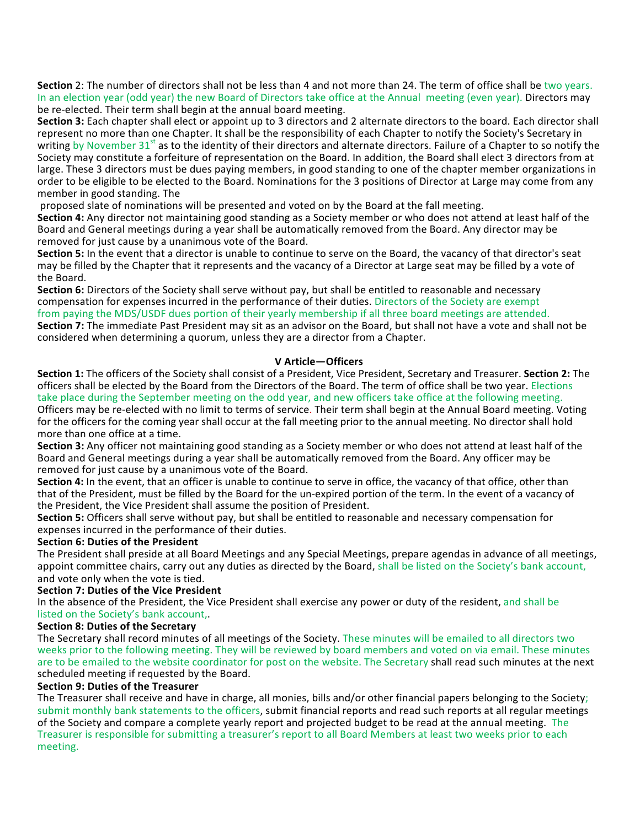**Section** 2: The number of directors shall not be less than 4 and not more than 24. The term of office shall be two years. In an election year (odd year) the new Board of Directors take office at the Annual meeting (even year). Directors may be re-elected. Their term shall begin at the annual board meeting.

**Section 3:** Each chapter shall elect or appoint up to 3 directors and 2 alternate directors to the board. Each director shall represent no more than one Chapter. It shall be the responsibility of each Chapter to notify the Society's Secretary in writing by November  $31<sup>st</sup>$  as to the identity of their directors and alternate directors. Failure of a Chapter to so notify the Society may constitute a forfeiture of representation on the Board. In addition, the Board shall elect 3 directors from at large. These 3 directors must be dues paying members, in good standing to one of the chapter member organizations in order to be eligible to be elected to the Board. Nominations for the 3 positions of Director at Large may come from any member in good standing. The

proposed slate of nominations will be presented and voted on by the Board at the fall meeting.

**Section 4:** Any director not maintaining good standing as a Society member or who does not attend at least half of the Board and General meetings during a year shall be automatically removed from the Board. Any director may be removed for just cause by a unanimous vote of the Board.

**Section 5:** In the event that a director is unable to continue to serve on the Board, the vacancy of that director's seat may be filled by the Chapter that it represents and the vacancy of a Director at Large seat may be filled by a vote of the Board.

**Section 6:** Directors of the Society shall serve without pay, but shall be entitled to reasonable and necessary compensation for expenses incurred in the performance of their duties. Directors of the Society are exempt from paying the MDS/USDF dues portion of their yearly membership if all three board meetings are attended. **Section 7:** The immediate Past President may sit as an advisor on the Board, but shall not have a vote and shall not be considered when determining a quorum, unless they are a director from a Chapter.

#### **V Article—Officers**

**Section 1:** The officers of the Society shall consist of a President, Vice President, Secretary and Treasurer. Section 2: The officers shall be elected by the Board from the Directors of the Board. The term of office shall be two year. Elections take place during the September meeting on the odd year, and new officers take office at the following meeting. Officers may be re-elected with no limit to terms of service. Their term shall begin at the Annual Board meeting. Voting for the officers for the coming year shall occur at the fall meeting prior to the annual meeting. No director shall hold

more than one office at a time.

**Section 3:** Any officer not maintaining good standing as a Society member or who does not attend at least half of the Board and General meetings during a year shall be automatically removed from the Board. Any officer may be removed for just cause by a unanimous vote of the Board.

**Section 4:** In the event, that an officer is unable to continue to serve in office, the vacancy of that office, other than that of the President, must be filled by the Board for the un-expired portion of the term. In the event of a vacancy of the President, the Vice President shall assume the position of President.

**Section 5:** Officers shall serve without pay, but shall be entitled to reasonable and necessary compensation for expenses incurred in the performance of their duties.

#### **Section 6: Duties of the President**

The President shall preside at all Board Meetings and any Special Meetings, prepare agendas in advance of all meetings, appoint committee chairs, carry out any duties as directed by the Board, shall be listed on the Society's bank account, and vote only when the vote is tied.

#### **Section 7: Duties of the Vice President**

In the absence of the President, the Vice President shall exercise any power or duty of the resident, and shall be listed on the Society's bank account,

#### **Section 8: Duties of the Secretary**

The Secretary shall record minutes of all meetings of the Society. These minutes will be emailed to all directors two weeks prior to the following meeting. They will be reviewed by board members and voted on via email. These minutes are to be emailed to the website coordinator for post on the website. The Secretary shall read such minutes at the next scheduled meeting if requested by the Board.

#### **Section 9: Duties of the Treasurer**

The Treasurer shall receive and have in charge, all monies, bills and/or other financial papers belonging to the Society; submit monthly bank statements to the officers, submit financial reports and read such reports at all regular meetings of the Society and compare a complete yearly report and projected budget to be read at the annual meeting. The Treasurer is responsible for submitting a treasurer's report to all Board Members at least two weeks prior to each meeting.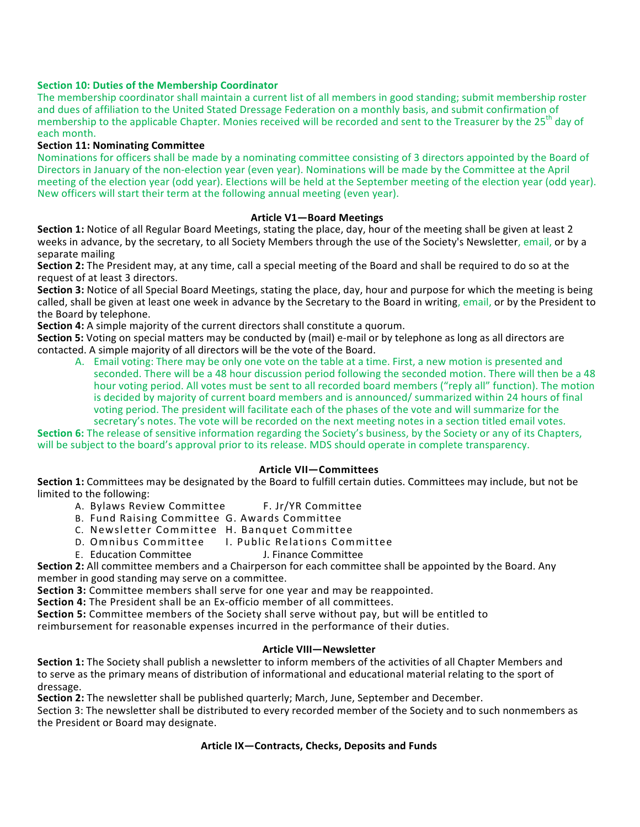#### **Section 10: Duties of the Membership Coordinator**

The membership coordinator shall maintain a current list of all members in good standing; submit membership roster and dues of affiliation to the United Stated Dressage Federation on a monthly basis, and submit confirmation of membership to the applicable Chapter. Monies received will be recorded and sent to the Treasurer by the 25<sup>th</sup> day of each month.

#### **Section 11: Nominating Committee**

Nominations for officers shall be made by a nominating committee consisting of 3 directors appointed by the Board of Directors in January of the non-election year (even year). Nominations will be made by the Committee at the April meeting of the election year (odd year). Elections will be held at the September meeting of the election year (odd year). New officers will start their term at the following annual meeting (even year).

#### **Article V1—Board Meetings**

**Section 1:** Notice of all Regular Board Meetings, stating the place, day, hour of the meeting shall be given at least 2 weeks in advance, by the secretary, to all Society Members through the use of the Society's Newsletter, email, or by a separate mailing

**Section 2:** The President may, at any time, call a special meeting of the Board and shall be required to do so at the request of at least 3 directors.

**Section 3:** Notice of all Special Board Meetings, stating the place, day, hour and purpose for which the meeting is being called, shall be given at least one week in advance by the Secretary to the Board in writing, email, or by the President to the Board by telephone.

**Section 4:** A simple majority of the current directors shall constitute a quorum.

**Section 5:** Voting on special matters may be conducted by (mail) e-mail or by telephone as long as all directors are contacted. A simple majority of all directors will be the vote of the Board.

A. Email voting: There may be only one vote on the table at a time. First, a new motion is presented and seconded. There will be a 48 hour discussion period following the seconded motion. There will then be a 48 hour voting period. All votes must be sent to all recorded board members ("reply all" function). The motion is decided by majority of current board members and is announced/ summarized within 24 hours of final voting period. The president will facilitate each of the phases of the vote and will summarize for the secretary's notes. The vote will be recorded on the next meeting notes in a section titled email votes.

**Section 6:** The release of sensitive information regarding the Society's business, by the Society or any of its Chapters, will be subject to the board's approval prior to its release. MDS should operate in complete transparency.

#### **Article VII—Committees**

**Section 1:** Committees may be designated by the Board to fulfill certain duties. Committees may include, but not be limited to the following:

- A. Bylaws Review Committee F. Jr/YR Committee
- B. Fund Raising Committee G. Awards Committee
- C. Newsletter Committee H. Banquet Committee
- D. Omnibus Committee I. Public Relations Committee
- E. Education Committee **J. Finance Committee**

**Section 2:** All committee members and a Chairperson for each committee shall be appointed by the Board. Any member in good standing may serve on a committee.

**Section 3:** Committee members shall serve for one year and may be reappointed.

**Section 4:** The President shall be an Ex-officio member of all committees.

**Section 5:** Committee members of the Society shall serve without pay, but will be entitled to

reimbursement for reasonable expenses incurred in the performance of their duties.

#### **Article VIII—Newsletter**

**Section 1:** The Society shall publish a newsletter to inform members of the activities of all Chapter Members and to serve as the primary means of distribution of informational and educational material relating to the sport of dressage.

**Section 2:** The newsletter shall be published quarterly; March, June, September and December.

Section 3: The newsletter shall be distributed to every recorded member of the Society and to such nonmembers as the President or Board may designate.

#### Article IX-Contracts, Checks, Deposits and Funds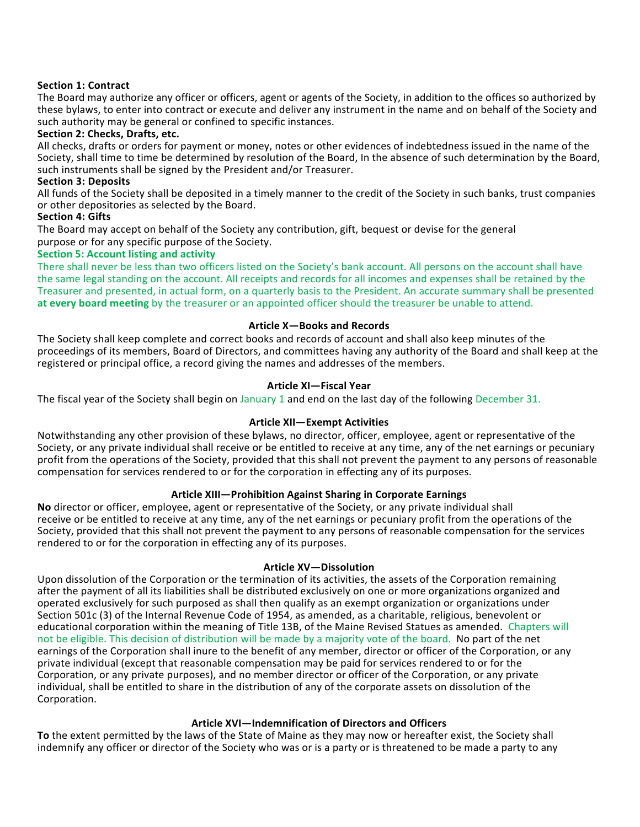#### **Section 1: Contract**

The Board may authorize any officer or officers, agent or agents of the Society, in addition to the offices so authorized by these bylaws, to enter into contract or execute and deliver any instrument in the name and on behalf of the Society and such authority may be general or confined to specific instances.

#### **Section 2: Checks, Drafts, etc.**

All checks, drafts or orders for payment or money, notes or other evidences of indebtedness issued in the name of the Society, shall time to time be determined by resolution of the Board, In the absence of such determination by the Board, such instruments shall be signed by the President and/or Treasurer.

#### **Section 3: Deposits**

All funds of the Society shall be deposited in a timely manner to the credit of the Society in such banks, trust companies or other depositories as selected by the Board.

#### **Section 4: Gifts**

The Board may accept on behalf of the Society any contribution, gift, bequest or devise for the general purpose or for any specific purpose of the Society.

#### **Section 5: Account listing and activity**

There shall never be less than two officers listed on the Society's bank account. All persons on the account shall have the same legal standing on the account. All receipts and records for all incomes and expenses shall be retained by the Treasurer and presented, in actual form, on a quarterly basis to the President. An accurate summary shall be presented **at every board meeting** by the treasurer or an appointed officer should the treasurer be unable to attend.

#### **Article X—Books and Records**

The Society shall keep complete and correct books and records of account and shall also keep minutes of the proceedings of its members, Board of Directors, and committees having any authority of the Board and shall keep at the registered or principal office, a record giving the names and addresses of the members.

#### **Article XI—Fiscal Year**

The fiscal year of the Society shall begin on January 1 and end on the last day of the following December 31.

#### **Article XII—Exempt Activities**

Notwithstanding any other provision of these bylaws, no director, officer, employee, agent or representative of the Society, or any private individual shall receive or be entitled to receive at any time, any of the net earnings or pecuniary profit from the operations of the Society, provided that this shall not prevent the payment to any persons of reasonable compensation for services rendered to or for the corporation in effecting any of its purposes.

#### Article XIII—Prohibition Against Sharing in Corporate Earnings

**No** director or officer, employee, agent or representative of the Society, or any private individual shall receive or be entitled to receive at any time, any of the net earnings or pecuniary profit from the operations of the Society, provided that this shall not prevent the payment to any persons of reasonable compensation for the services rendered to or for the corporation in effecting any of its purposes.

#### **Article XV—Dissolution**

Upon dissolution of the Corporation or the termination of its activities, the assets of the Corporation remaining after the payment of all its liabilities shall be distributed exclusively on one or more organizations organized and operated exclusively for such purposed as shall then qualify as an exempt organization or organizations under Section 501c (3) of the Internal Revenue Code of 1954, as amended, as a charitable, religious, benevolent or educational corporation within the meaning of Title 13B, of the Maine Revised Statues as amended. Chapters will not be eligible. This decision of distribution will be made by a majority vote of the board. No part of the net earnings of the Corporation shall inure to the benefit of any member, director or officer of the Corporation, or any private individual (except that reasonable compensation may be paid for services rendered to or for the Corporation, or any private purposes), and no member director or officer of the Corporation, or any private individual, shall be entitled to share in the distribution of any of the corporate assets on dissolution of the Corporation.

#### Article **XVI**—Indemnification of Directors and Officers

To the extent permitted by the laws of the State of Maine as they may now or hereafter exist, the Society shall indemnify any officer or director of the Society who was or is a party or is threatened to be made a party to any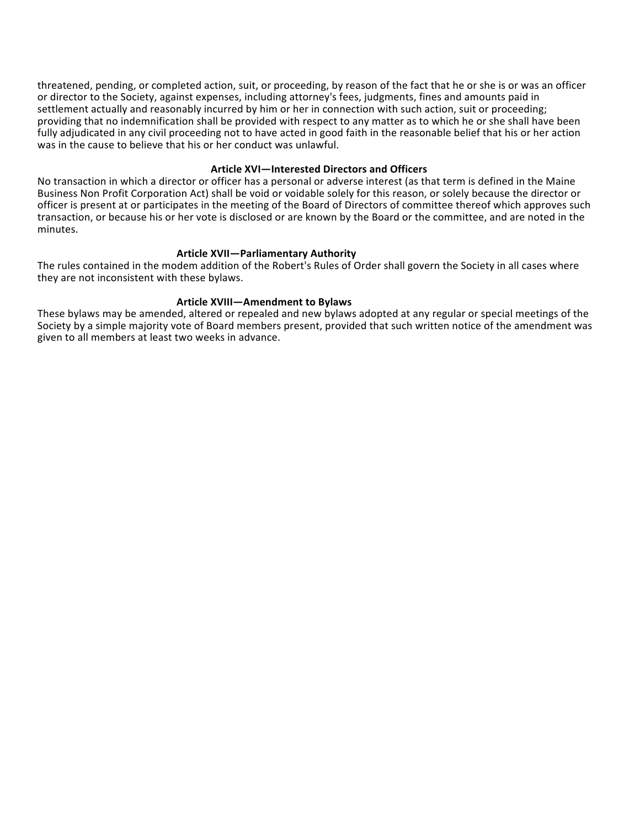threatened, pending, or completed action, suit, or proceeding, by reason of the fact that he or she is or was an officer or director to the Society, against expenses, including attorney's fees, judgments, fines and amounts paid in settlement actually and reasonably incurred by him or her in connection with such action, suit or proceeding; providing that no indemnification shall be provided with respect to any matter as to which he or she shall have been fully adjudicated in any civil proceeding not to have acted in good faith in the reasonable belief that his or her action was in the cause to believe that his or her conduct was unlawful.

#### **Article XVI—Interested Directors and Officers**

No transaction in which a director or officer has a personal or adverse interest (as that term is defined in the Maine Business Non Profit Corporation Act) shall be void or voidable solely for this reason, or solely because the director or officer is present at or participates in the meeting of the Board of Directors of committee thereof which approves such transaction, or because his or her vote is disclosed or are known by the Board or the committee, and are noted in the minutes.

#### **Article XVII—Parliamentary Authority**

The rules contained in the modem addition of the Robert's Rules of Order shall govern the Society in all cases where they are not inconsistent with these bylaws.

#### Article XVIII-Amendment to Bylaws

These bylaws may be amended, altered or repealed and new bylaws adopted at any regular or special meetings of the Society by a simple majority vote of Board members present, provided that such written notice of the amendment was given to all members at least two weeks in advance.